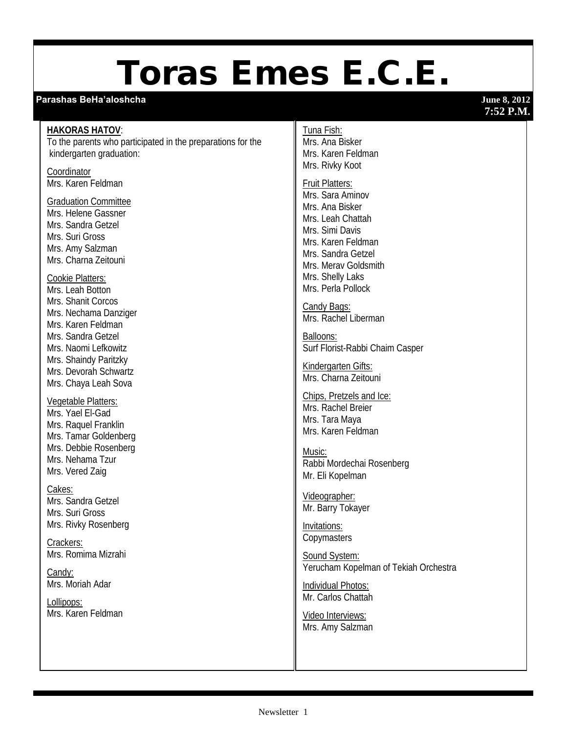# Toras Emes E.C.E.

## **Parashas BeHa'aloshcha June 8, 2012**

## **7:52 P.M.**

## **HAKORAS HATOV**:

To the parents who participated in the preparations for the kindergarten graduation:

**Coordinator** Mrs. Karen Feldman

#### Graduation Committee

Mrs. Helene Gassner Mrs. Sandra Getzel Mrs. Suri Gross Mrs. Amy Salzman Mrs. Charna Zeitouni

## Cookie Platters:

Mrs. Leah Botton Mrs. Shanit Corcos Mrs. Nechama Danziger Mrs. Karen Feldman Mrs. Sandra Getzel Mrs. Naomi Lefkowitz Mrs. Shaindy Paritzky Mrs. Devorah Schwartz Mrs. Chaya Leah Sova

## Vegetable Platters:

Mrs. Yael El-Gad Mrs. Raquel Franklin Mrs. Tamar Goldenberg Mrs. Debbie Rosenberg Mrs. Nehama Tzur Mrs. Vered Zaig

## Cakes:

Mrs. Sandra Getzel Mrs. Suri Gross Mrs. Rivky Rosenberg

Crackers: Mrs. Romima Mizrahi

Candy: Mrs. Moriah Adar

Lollipops: Mrs. Karen Feldman

#### Tuna Fish:

Mrs. Ana Bisker Mrs. Karen Feldman Mrs. Rivky Koot

## Fruit Platters:

Mrs. Sara Aminov Mrs. Ana Bisker Mrs. Leah Chattah Mrs. Simi Davis Mrs. Karen Feldman Mrs. Sandra Getzel Mrs. Merav Goldsmith Mrs. Shelly Laks Mrs. Perla Pollock

Candy Bags: Mrs. Rachel Liberman

Balloons: Surf Florist-Rabbi Chaim Casper

Kindergarten Gifts: Mrs. Charna Zeitouni

Chips, Pretzels and Ice: Mrs. Rachel Breier Mrs. Tara Maya Mrs. Karen Feldman

Music: Rabbi Mordechai Rosenberg Mr. Eli Kopelman

Videographer: Mr. Barry Tokayer

Invitations: **Copymasters** 

Sound System: Yerucham Kopelman of Tekiah Orchestra

Individual Photos: Mr. Carlos Chattah

Video Interviews: Mrs. Amy Salzman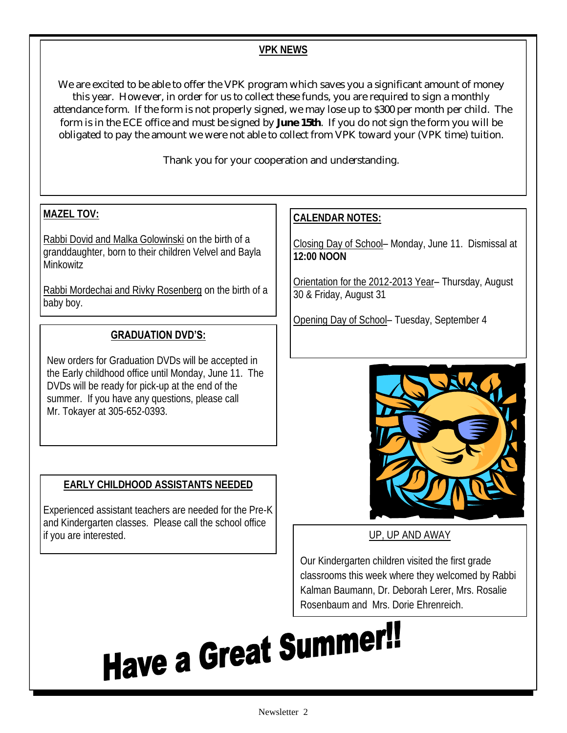## **VPK NEWS**

We are excited to be able to offer the VPK program which saves you a significant amount of money this year. However, in order for us to collect these funds, you are required to sign a monthly attendance form. If the form is not properly signed, we may lose up to \$300 per month per child. The form is in the ECE office and must be signed by **June 15th**. If you do not sign the form you will be obligated to pay the amount we were not able to collect from VPK toward your (VPK time) tuition.

Thank you for your cooperation and understanding.

## **MAZEL TOV:**

Rabbi Dovid and Malka Golowinski on the birth of a granddaughter, born to their children Velvel and Bayla Minkowitz

Rabbi Mordechai and Rivky Rosenberg on the birth of a baby boy.

## **GRADUATION DVD'S:**

New orders for Graduation DVDs will be accepted in the Early childhood office until Monday, June 11. The DVDs will be ready for pick-up at the end of the summer. If you have any questions, please call Mr. Tokayer at 305-652-0393.

## **EARLY CHILDHOOD ASSISTANTS NEEDED**

Experienced assistant teachers are needed for the Pre-K and Kindergarten classes. Please call the school office if you are interested. UP, UP AND AWAY

## **CALENDAR NOTES:**

Closing Day of School– Monday, June 11. Dismissal at **12:00 NOON**

Orientation for the 2012-2013 Year– Thursday, August 30 & Friday, August 31

Opening Day of School– Tuesday, September 4



Our Kindergarten children visited the first grade classrooms this week where they welcomed by Rabbi Kalman Baumann, Dr. Deborah Lerer, Mrs. Rosalie Rosenbaum and Mrs. Dorie Ehrenreich.

Have a Great Summer!!